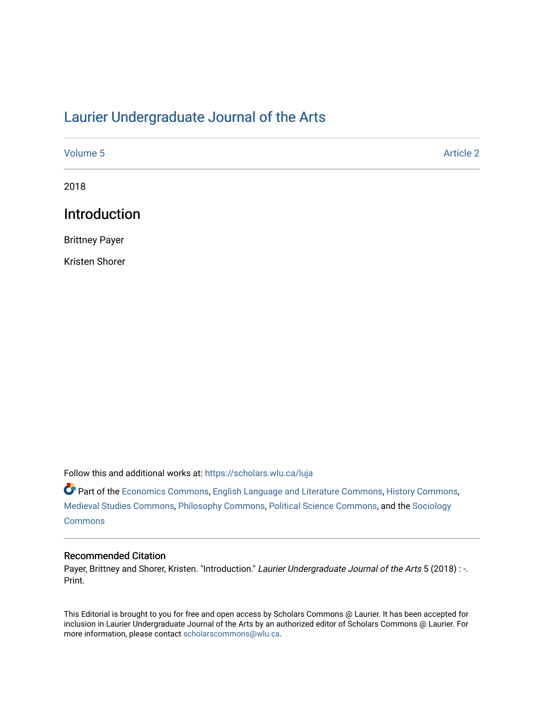# [Laurier Undergraduate Journal of the Arts](https://scholars.wlu.ca/luja)

| Volume 5 | <b>Article 2</b> |
|----------|------------------|
| 2018     |                  |

# Introduction

Brittney Payer

Kristen Shorer

Follow this and additional works at: [https://scholars.wlu.ca/luja](https://scholars.wlu.ca/luja?utm_source=scholars.wlu.ca%2Fluja%2Fvol5%2Fiss1%2F2&utm_medium=PDF&utm_campaign=PDFCoverPages) 

Part of the [Economics Commons](http://network.bepress.com/hgg/discipline/340?utm_source=scholars.wlu.ca%2Fluja%2Fvol5%2Fiss1%2F2&utm_medium=PDF&utm_campaign=PDFCoverPages), [English Language and Literature Commons,](http://network.bepress.com/hgg/discipline/455?utm_source=scholars.wlu.ca%2Fluja%2Fvol5%2Fiss1%2F2&utm_medium=PDF&utm_campaign=PDFCoverPages) [History Commons,](http://network.bepress.com/hgg/discipline/489?utm_source=scholars.wlu.ca%2Fluja%2Fvol5%2Fiss1%2F2&utm_medium=PDF&utm_campaign=PDFCoverPages) [Medieval Studies Commons](http://network.bepress.com/hgg/discipline/480?utm_source=scholars.wlu.ca%2Fluja%2Fvol5%2Fiss1%2F2&utm_medium=PDF&utm_campaign=PDFCoverPages), [Philosophy Commons](http://network.bepress.com/hgg/discipline/525?utm_source=scholars.wlu.ca%2Fluja%2Fvol5%2Fiss1%2F2&utm_medium=PDF&utm_campaign=PDFCoverPages), [Political Science Commons](http://network.bepress.com/hgg/discipline/386?utm_source=scholars.wlu.ca%2Fluja%2Fvol5%2Fiss1%2F2&utm_medium=PDF&utm_campaign=PDFCoverPages), and the [Sociology](http://network.bepress.com/hgg/discipline/416?utm_source=scholars.wlu.ca%2Fluja%2Fvol5%2Fiss1%2F2&utm_medium=PDF&utm_campaign=PDFCoverPages)  **[Commons](http://network.bepress.com/hgg/discipline/416?utm_source=scholars.wlu.ca%2Fluja%2Fvol5%2Fiss1%2F2&utm_medium=PDF&utm_campaign=PDFCoverPages)** 

#### Recommended Citation

Payer, Brittney and Shorer, Kristen. "Introduction." Laurier Undergraduate Journal of the Arts 5 (2018) : -. Print.

This Editorial is brought to you for free and open access by Scholars Commons @ Laurier. It has been accepted for inclusion in Laurier Undergraduate Journal of the Arts by an authorized editor of Scholars Commons @ Laurier. For more information, please contact [scholarscommons@wlu.ca](mailto:scholarscommons@wlu.ca).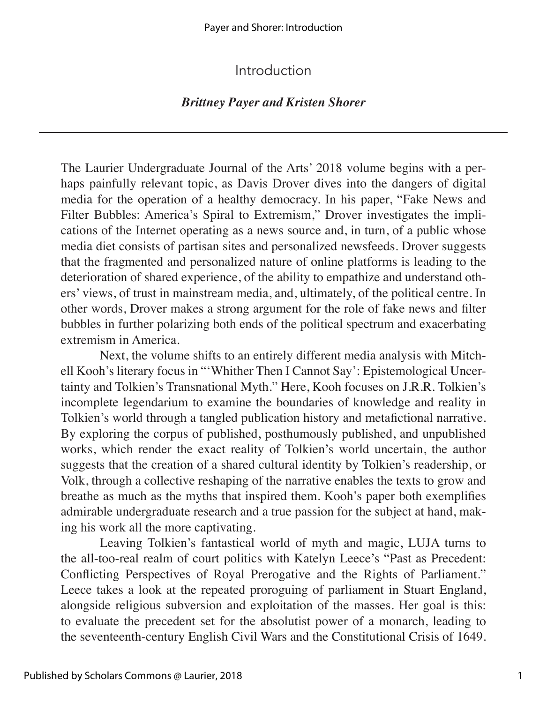## Introduction

### *Brittney Payer and Kristen Shorer*

The Laurier Undergraduate Journal of the Arts' 2018 volume begins with a perhaps painfully relevant topic, as Davis Drover dives into the dangers of digital media for the operation of a healthy democracy. In his paper, "Fake News and Filter Bubbles: America's Spiral to Extremism," Drover investigates the implications of the Internet operating as a news source and, in turn, of a public whose media diet consists of partisan sites and personalized newsfeeds. Drover suggests that the fragmented and personalized nature of online platforms is leading to the deterioration of shared experience, of the ability to empathize and understand others' views, of trust in mainstream media, and, ultimately, of the political centre. In other words, Drover makes a strong argument for the role of fake news and filter bubbles in further polarizing both ends of the political spectrum and exacerbating extremism in America.

Next, the volume shifts to an entirely different media analysis with Mitchell Kooh's literary focus in "'Whither Then I Cannot Say': Epistemological Uncertainty and Tolkien's Transnational Myth." Here, Kooh focuses on J.R.R. Tolkien's incomplete legendarium to examine the boundaries of knowledge and reality in Tolkien's world through a tangled publication history and metafictional narrative. By exploring the corpus of published, posthumously published, and unpublished works, which render the exact reality of Tolkien's world uncertain, the author suggests that the creation of a shared cultural identity by Tolkien's readership, or Volk, through a collective reshaping of the narrative enables the texts to grow and breathe as much as the myths that inspired them. Kooh's paper both exemplifies admirable undergraduate research and a true passion for the subject at hand, making his work all the more captivating.

Leaving Tolkien's fantastical world of myth and magic, LUJA turns to the all-too-real realm of court politics with Katelyn Leece's "Past as Precedent: Conflicting Perspectives of Royal Prerogative and the Rights of Parliament." Leece takes a look at the repeated proroguing of parliament in Stuart England, alongside religious subversion and exploitation of the masses. Her goal is this: to evaluate the precedent set for the absolutist power of a monarch, leading to the seventeenth-century English Civil Wars and the Constitutional Crisis of 1649.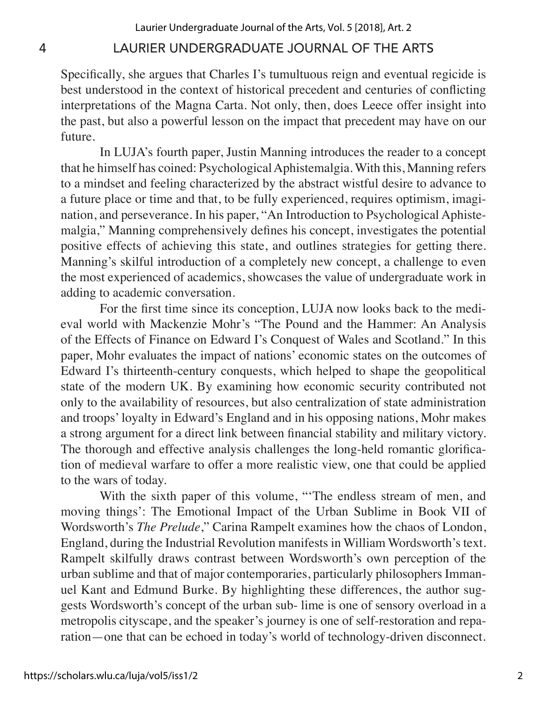### 4 LAURIER UNDERGRADUATE JOURNAL OF THE ARTS

Specifically, she argues that Charles I's tumultuous reign and eventual regicide is best understood in the context of historical precedent and centuries of conflicting interpretations of the Magna Carta. Not only, then, does Leece offer insight into the past, but also a powerful lesson on the impact that precedent may have on our future.

In LUJA's fourth paper, Justin Manning introduces the reader to a concept that he himself has coined: Psychological Aphistemalgia. With this, Manning refers to a mindset and feeling characterized by the abstract wistful desire to advance to a future place or time and that, to be fully experienced, requires optimism, imagination, and perseverance. In his paper, "An Introduction to Psychological Aphistemalgia," Manning comprehensively defines his concept, investigates the potential positive effects of achieving this state, and outlines strategies for getting there. Manning's skilful introduction of a completely new concept, a challenge to even the most experienced of academics, showcases the value of undergraduate work in adding to academic conversation.

For the first time since its conception, LUJA now looks back to the medieval world with Mackenzie Mohr's "The Pound and the Hammer: An Analysis of the Effects of Finance on Edward I's Conquest of Wales and Scotland." In this paper, Mohr evaluates the impact of nations' economic states on the outcomes of Edward I's thirteenth-century conquests, which helped to shape the geopolitical state of the modern UK. By examining how economic security contributed not only to the availability of resources, but also centralization of state administration and troops' loyalty in Edward's England and in his opposing nations, Mohr makes a strong argument for a direct link between financial stability and military victory. The thorough and effective analysis challenges the long-held romantic glorification of medieval warfare to offer a more realistic view, one that could be applied to the wars of today.

With the sixth paper of this volume, "The endless stream of men, and moving things': The Emotional Impact of the Urban Sublime in Book VII of Wordsworth's *The Prelude*," Carina Rampelt examines how the chaos of London, England, during the Industrial Revolution manifests in William Wordsworth's text. Rampelt skilfully draws contrast between Wordsworth's own perception of the urban sublime and that of major contemporaries, particularly philosophers Immanuel Kant and Edmund Burke. By highlighting these differences, the author suggests Wordsworth's concept of the urban sub- lime is one of sensory overload in a metropolis cityscape, and the speaker's journey is one of self-restoration and reparation—one that can be echoed in today's world of technology-driven disconnect.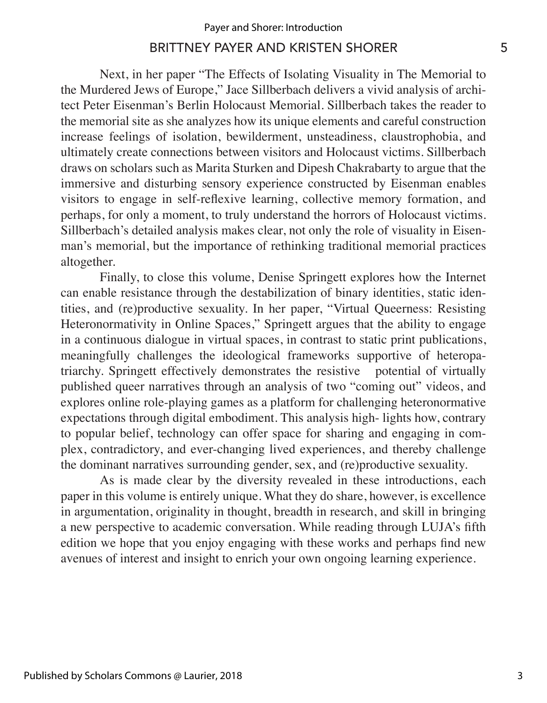#### BRITTNEY PAYER AND KRISTEN SHORER 5

Next, in her paper "The Effects of Isolating Visuality in The Memorial to the Murdered Jews of Europe," Jace Sillberbach delivers a vivid analysis of architect Peter Eisenman's Berlin Holocaust Memorial. Sillberbach takes the reader to the memorial site as she analyzes how its unique elements and careful construction increase feelings of isolation, bewilderment, unsteadiness, claustrophobia, and ultimately create connections between visitors and Holocaust victims. Sillberbach draws on scholars such as Marita Sturken and Dipesh Chakrabarty to argue that the immersive and disturbing sensory experience constructed by Eisenman enables visitors to engage in self-reflexive learning, collective memory formation, and perhaps, for only a moment, to truly understand the horrors of Holocaust victims. Sillberbach's detailed analysis makes clear, not only the role of visuality in Eisenman's memorial, but the importance of rethinking traditional memorial practices altogether.

Finally, to close this volume, Denise Springett explores how the Internet can enable resistance through the destabilization of binary identities, static identities, and (re)productive sexuality. In her paper, "Virtual Queerness: Resisting Heteronormativity in Online Spaces," Springett argues that the ability to engage in a continuous dialogue in virtual spaces, in contrast to static print publications, meaningfully challenges the ideological frameworks supportive of heteropatriarchy. Springett effectively demonstrates the resistive potential of virtually published queer narratives through an analysis of two "coming out" videos, and explores online role-playing games as a platform for challenging heteronormative expectations through digital embodiment. This analysis high- lights how, contrary to popular belief, technology can offer space for sharing and engaging in complex, contradictory, and ever-changing lived experiences, and thereby challenge the dominant narratives surrounding gender, sex, and (re)productive sexuality.

As is made clear by the diversity revealed in these introductions, each paper in this volume is entirely unique. What they do share, however, is excellence in argumentation, originality in thought, breadth in research, and skill in bringing a new perspective to academic conversation. While reading through LUJA's fifth edition we hope that you enjoy engaging with these works and perhaps find new avenues of interest and insight to enrich your own ongoing learning experience.